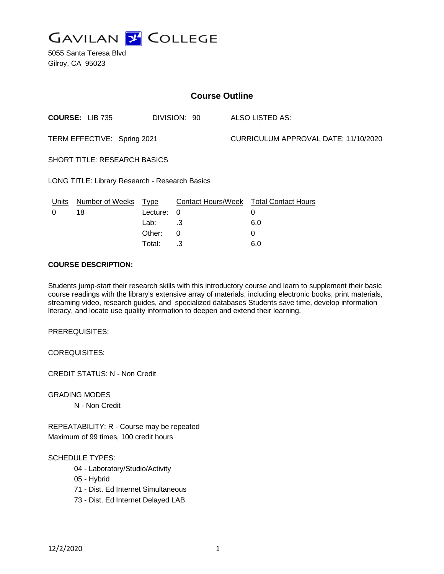

5055 Santa Teresa Blvd Gilroy, CA 95023

| <b>Course Outline</b>                          |                                        |          |          |                                      |                                        |
|------------------------------------------------|----------------------------------------|----------|----------|--------------------------------------|----------------------------------------|
|                                                | <b>COURSE: LIB 735</b><br>DIVISION: 90 |          |          | ALSO LISTED AS:                      |                                        |
| TERM EFFECTIVE: Spring 2021                    |                                        |          |          | CURRICULUM APPROVAL DATE: 11/10/2020 |                                        |
| SHORT TITLE: RESEARCH BASICS                   |                                        |          |          |                                      |                                        |
| LONG TITLE: Library Research - Research Basics |                                        |          |          |                                      |                                        |
| <u>Units</u>                                   | Number of Weeks Type                   |          |          |                                      | Contact Hours/Week Total Contact Hours |
| $\Omega$                                       | 18                                     | Lecture: | $\Omega$ |                                      | 0                                      |
|                                                |                                        | Lab:     | .3       |                                      | 6.0                                    |
|                                                |                                        | Other:   | $\Omega$ |                                      | 0                                      |
|                                                |                                        | Total:   | .3       |                                      | 6.0                                    |

### **COURSE DESCRIPTION:**

Students jump-start their research skills with this introductory course and learn to supplement their basic course readings with the library's extensive array of materials, including electronic books, print materials, streaming video, research guides, and specialized databases Students save time, develop information literacy, and locate use quality information to deepen and extend their learning.

PREREQUISITES:

COREQUISITES:

CREDIT STATUS: N - Non Credit

GRADING MODES

N - Non Credit

REPEATABILITY: R - Course may be repeated Maximum of 99 times, 100 credit hours

#### SCHEDULE TYPES:

- 04 Laboratory/Studio/Activity
- 05 Hybrid
- 71 Dist. Ed Internet Simultaneous
- 73 Dist. Ed Internet Delayed LAB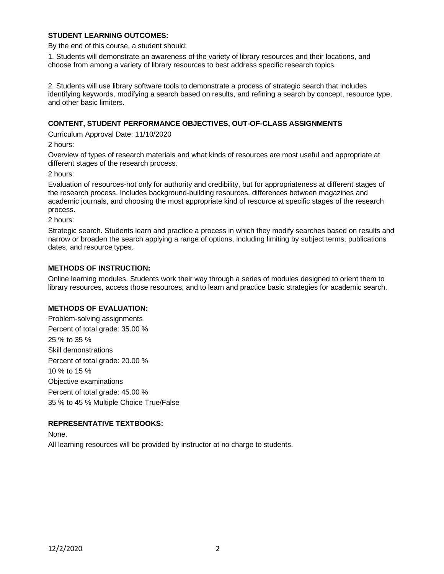## **STUDENT LEARNING OUTCOMES:**

By the end of this course, a student should:

1. Students will demonstrate an awareness of the variety of library resources and their locations, and choose from among a variety of library resources to best address specific research topics.

2. Students will use library software tools to demonstrate a process of strategic search that includes identifying keywords, modifying a search based on results, and refining a search by concept, resource type, and other basic limiters.

### **CONTENT, STUDENT PERFORMANCE OBJECTIVES, OUT-OF-CLASS ASSIGNMENTS**

Curriculum Approval Date: 11/10/2020

2 hours:

Overview of types of research materials and what kinds of resources are most useful and appropriate at different stages of the research process.

2 hours:

Evaluation of resources-not only for authority and credibility, but for appropriateness at different stages of the research process. Includes background-building resources, differences between magazines and academic journals, and choosing the most appropriate kind of resource at specific stages of the research process.

2 hours:

Strategic search. Students learn and practice a process in which they modify searches based on results and narrow or broaden the search applying a range of options, including limiting by subject terms, publications dates, and resource types.

### **METHODS OF INSTRUCTION:**

Online learning modules. Students work their way through a series of modules designed to orient them to library resources, access those resources, and to learn and practice basic strategies for academic search.

## **METHODS OF EVALUATION:**

Problem-solving assignments Percent of total grade: 35.00 % 25 % to 35 % Skill demonstrations Percent of total grade: 20.00 % 10 % to 15 % Objective examinations Percent of total grade: 45.00 % 35 % to 45 % Multiple Choice True/False

### **REPRESENTATIVE TEXTBOOKS:**

None.

All learning resources will be provided by instructor at no charge to students.